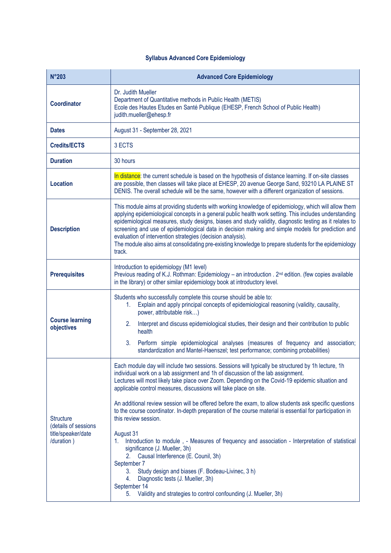## **Syllabus Advanced Core Epidemiology**

| $N^{\circ}203$                                                               | <b>Advanced Core Epidemiology</b>                                                                                                                                                                                                                                                                                                                                                                                                                                                                                                                                                                                                                                                                                                                                                                                                                                                                                                                                                                                                   |
|------------------------------------------------------------------------------|-------------------------------------------------------------------------------------------------------------------------------------------------------------------------------------------------------------------------------------------------------------------------------------------------------------------------------------------------------------------------------------------------------------------------------------------------------------------------------------------------------------------------------------------------------------------------------------------------------------------------------------------------------------------------------------------------------------------------------------------------------------------------------------------------------------------------------------------------------------------------------------------------------------------------------------------------------------------------------------------------------------------------------------|
| <b>Coordinator</b>                                                           | Dr. Judith Mueller<br>Department of Quantitative methods in Public Health (METIS)<br>Ecole des Hautes Etudes en Santé Publique (EHESP, French School of Public Health)<br>judith.mueller@ehesp.fr                                                                                                                                                                                                                                                                                                                                                                                                                                                                                                                                                                                                                                                                                                                                                                                                                                   |
| <b>Dates</b>                                                                 | August 31 - September 28, 2021                                                                                                                                                                                                                                                                                                                                                                                                                                                                                                                                                                                                                                                                                                                                                                                                                                                                                                                                                                                                      |
| <b>Credits/ECTS</b>                                                          | 3 ECTS                                                                                                                                                                                                                                                                                                                                                                                                                                                                                                                                                                                                                                                                                                                                                                                                                                                                                                                                                                                                                              |
| <b>Duration</b>                                                              | 30 hours                                                                                                                                                                                                                                                                                                                                                                                                                                                                                                                                                                                                                                                                                                                                                                                                                                                                                                                                                                                                                            |
| <b>Location</b>                                                              | In distance: the current schedule is based on the hypothesis of distance learning. If on-site classes<br>are possible, then classes will take place at EHESP, 20 avenue George Sand, 93210 LA PLAINE ST<br>DENIS. The overall schedule will be the same, however with a different organization of sessions.                                                                                                                                                                                                                                                                                                                                                                                                                                                                                                                                                                                                                                                                                                                         |
| <b>Description</b>                                                           | This module aims at providing students with working knowledge of epidemiology, which will allow them<br>applying epidemiological concepts in a general public health work setting. This includes understanding<br>epidemiological measures, study designs, biases and study validity, diagnostic testing as it relates to<br>screening and use of epidemiological data in decision making and simple models for prediction and<br>evaluation of intervention strategies (decision analysis).<br>The module also aims at consolidating pre-existing knowledge to prepare students for the epidemiology<br>track.                                                                                                                                                                                                                                                                                                                                                                                                                     |
| <b>Prerequisites</b>                                                         | Introduction to epidemiology (M1 level)<br>Previous reading of K.J. Rothman: Epidemiology - an introduction . 2 <sup>nd</sup> edition. (few copies available<br>in the library) or other similar epidemiology book at introductory level.                                                                                                                                                                                                                                                                                                                                                                                                                                                                                                                                                                                                                                                                                                                                                                                           |
| <b>Course learning</b><br>objectives                                         | Students who successfully complete this course should be able to:<br>Explain and apply principal concepts of epidemiological reasoning (validity, causality,<br>1.<br>power, attributable risk)<br>2 <sub>1</sub><br>Interpret and discuss epidemiological studies, their design and their contribution to public<br>health<br>3.<br>Perform simple epidemiological analyses (measures of frequency and association;<br>standardization and Mantel-Haenszel; test performance; combining probabilities)                                                                                                                                                                                                                                                                                                                                                                                                                                                                                                                             |
| <b>Structure</b><br>(details of sessions<br>title/speaker/date<br>/duration) | Each module day will include two sessions. Sessions will typically be structured by 1h lecture, 1h<br>individual work on a lab assignment and 1h of discussion of the lab assignment.<br>Lectures will most likely take place over Zoom. Depending on the Covid-19 epidemic situation and<br>applicable control measures, discussions will take place on site.<br>An additional review session will be offered before the exam, to allow students ask specific questions<br>to the course coordinator. In-depth preparation of the course material is essential for participation in<br>this review session.<br>August 31<br>Introduction to module, - Measures of frequency and association - Interpretation of statistical<br>$1_{\cdot}$<br>significance (J. Mueller, 3h)<br>Causal Interference (E. Counil, 3h)<br>2.<br>September 7<br>Study design and biases (F. Bodeau-Livinec, 3 h)<br>3.<br>Diagnostic tests (J. Mueller, 3h)<br>4.<br>September 14<br>5. Validity and strategies to control confounding (J. Mueller, 3h) |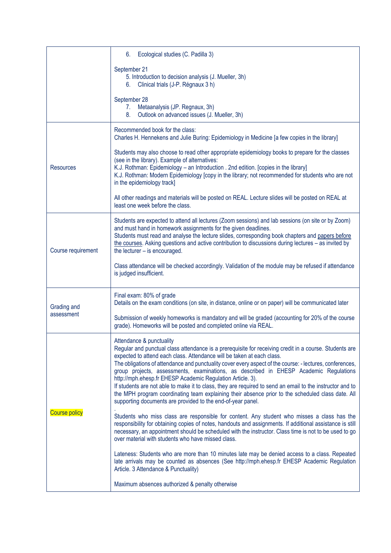|                      | Ecological studies (C. Padilla 3)<br>6.                                                                                                                                                                                                                                                                                                                                                                                                                                                                                                                                                                                                                                                                                                                          |
|----------------------|------------------------------------------------------------------------------------------------------------------------------------------------------------------------------------------------------------------------------------------------------------------------------------------------------------------------------------------------------------------------------------------------------------------------------------------------------------------------------------------------------------------------------------------------------------------------------------------------------------------------------------------------------------------------------------------------------------------------------------------------------------------|
|                      | September 21<br>5. Introduction to decision analysis (J. Mueller, 3h)<br>6. Clinical trials (J-P. Régnaux 3 h)                                                                                                                                                                                                                                                                                                                                                                                                                                                                                                                                                                                                                                                   |
|                      | September 28<br>7. Metaanalysis (JP. Regnaux, 3h)<br>Outlook on advanced issues (J. Mueller, 3h)<br>8.                                                                                                                                                                                                                                                                                                                                                                                                                                                                                                                                                                                                                                                           |
|                      | Recommended book for the class:<br>Charles H. Hennekens and Julie Buring: Epidemiology in Medicine [a few copies in the library]                                                                                                                                                                                                                                                                                                                                                                                                                                                                                                                                                                                                                                 |
| <b>Resources</b>     | Students may also choose to read other appropriate epidemiology books to prepare for the classes<br>(see in the library). Example of alternatives:<br>K.J. Rothman: Epidemiology - an Introduction . 2nd edition. [copies in the library]<br>K.J. Rothman: Modern Epidemiology [copy in the library; not recommended for students who are not<br>in the epidemiology track]                                                                                                                                                                                                                                                                                                                                                                                      |
|                      | All other readings and materials will be posted on REAL. Lecture slides will be posted on REAL at<br>least one week before the class.                                                                                                                                                                                                                                                                                                                                                                                                                                                                                                                                                                                                                            |
| Course requirement   | Students are expected to attend all lectures (Zoom sessions) and lab sessions (on site or by Zoom)<br>and must hand in homework assignments for the given deadlines.<br>Students must read and analyse the lecture slides, corresponding book chapters and papers before<br>the courses. Asking questions and active contribution to discussions during lectures - as invited by<br>the lecturer - is encouraged.                                                                                                                                                                                                                                                                                                                                                |
|                      | Class attendance will be checked accordingly. Validation of the module may be refused if attendance<br>is judged insufficient.                                                                                                                                                                                                                                                                                                                                                                                                                                                                                                                                                                                                                                   |
| Grading and          | Final exam: 80% of grade<br>Details on the exam conditions (on site, in distance, online or on paper) will be communicated later                                                                                                                                                                                                                                                                                                                                                                                                                                                                                                                                                                                                                                 |
| assessment           | Submission of weekly homeworks is mandatory and will be graded (accounting for 20% of the course<br>grade). Homeworks will be posted and completed online via REAL.                                                                                                                                                                                                                                                                                                                                                                                                                                                                                                                                                                                              |
| <b>Course policy</b> | Attendance & punctuality<br>Regular and punctual class attendance is a prerequisite for receiving credit in a course. Students are<br>expected to attend each class. Attendance will be taken at each class.<br>The obligations of attendance and punctuality cover every aspect of the course: - lectures, conferences,<br>group projects, assessments, examinations, as described in EHESP Academic Regulations<br>http://mph.ehesp.fr EHESP Academic Regulation Article. 3).<br>If students are not able to make it to class, they are required to send an email to the instructor and to<br>the MPH program coordinating team explaining their absence prior to the scheduled class date. All<br>supporting documents are provided to the end-of-year panel. |
|                      | Students who miss class are responsible for content. Any student who misses a class has the<br>responsibility for obtaining copies of notes, handouts and assignments. If additional assistance is still<br>necessary, an appointment should be scheduled with the instructor. Class time is not to be used to go<br>over material with students who have missed class.                                                                                                                                                                                                                                                                                                                                                                                          |
|                      | Lateness: Students who are more than 10 minutes late may be denied access to a class. Repeated<br>late arrivals may be counted as absences (See http://mph.ehesp.fr EHESP Academic Regulation<br>Article. 3 Attendance & Punctuality)                                                                                                                                                                                                                                                                                                                                                                                                                                                                                                                            |
|                      | Maximum absences authorized & penalty otherwise                                                                                                                                                                                                                                                                                                                                                                                                                                                                                                                                                                                                                                                                                                                  |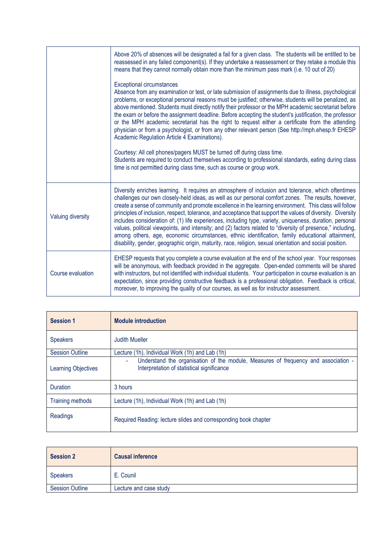|                   | Above 20% of absences will be designated a fail for a given class. The students will be entitled to be<br>reassessed in any failed component(s). If they undertake a reassessment or they retake a module this<br>means that they cannot normally obtain more than the minimum pass mark (i.e. 10 out of 20)                                                                                                                                                                                                                                                                                                                                                                                                                                                                                                                                                                   |
|-------------------|--------------------------------------------------------------------------------------------------------------------------------------------------------------------------------------------------------------------------------------------------------------------------------------------------------------------------------------------------------------------------------------------------------------------------------------------------------------------------------------------------------------------------------------------------------------------------------------------------------------------------------------------------------------------------------------------------------------------------------------------------------------------------------------------------------------------------------------------------------------------------------|
|                   | <b>Exceptional circumstances</b><br>Absence from any examination or test, or late submission of assignments due to illness, psychological<br>problems, or exceptional personal reasons must be justified; otherwise, students will be penalized, as<br>above mentioned. Students must directly notify their professor or the MPH academic secretariat before<br>the exam or before the assignment deadline. Before accepting the student's justification, the professor<br>or the MPH academic secretariat has the right to request either a certificate from the attending<br>physician or from a psychologist, or from any other relevant person (See http://mph.ehesp.fr EHESP<br>Academic Regulation Article 4 Examinations).                                                                                                                                              |
|                   | Courtesy: All cell phones/pagers MUST be turned off during class time.<br>Students are required to conduct themselves according to professional standards, eating during class<br>time is not permitted during class time, such as course or group work.                                                                                                                                                                                                                                                                                                                                                                                                                                                                                                                                                                                                                       |
| Valuing diversity | Diversity enriches learning. It requires an atmosphere of inclusion and tolerance, which oftentimes<br>challenges our own closely-held ideas, as well as our personal comfort zones. The results, however,<br>create a sense of community and promote excellence in the learning environment. This class will follow<br>principles of inclusion, respect, tolerance, and acceptance that support the values of diversity. Diversity<br>includes consideration of: (1) life experiences, including type, variety, uniqueness, duration, personal<br>values, political viewpoints, and intensity; and (2) factors related to "diversity of presence," including,<br>among others, age, economic circumstances, ethnic identification, family educational attainment,<br>disability, gender, geographic origin, maturity, race, religion, sexual orientation and social position. |
| Course evaluation | EHESP requests that you complete a course evaluation at the end of the school year. Your responses<br>will be anonymous, with feedback provided in the aggregate. Open-ended comments will be shared<br>with instructors, but not identified with individual students. Your participation in course evaluation is an<br>expectation, since providing constructive feedback is a professional obligation. Feedback is critical,<br>moreover, to improving the quality of our courses, as well as for instructor assessment.                                                                                                                                                                                                                                                                                                                                                     |

| <b>Session 1</b>           | <b>Module introduction</b>                                                                                                                 |
|----------------------------|--------------------------------------------------------------------------------------------------------------------------------------------|
| <b>Speakers</b>            | <b>Judith Mueller</b>                                                                                                                      |
| <b>Session Outline</b>     | Lecture (1h), Individual Work (1h) and Lab (1h)                                                                                            |
| <b>Learning Objectives</b> | Understand the organisation of the module, Measures of frequency and association -<br>$\sim$<br>Interpretation of statistical significance |
| <b>Duration</b>            | 3 hours                                                                                                                                    |
| <b>Training methods</b>    | Lecture (1h), Individual Work (1h) and Lab (1h)                                                                                            |
| Readings                   | Required Reading: lecture slides and corresponding book chapter                                                                            |

| <b>Session 2</b>       | <b>Causal inference</b> |
|------------------------|-------------------------|
| <b>Speakers</b>        | E. Counil               |
| <b>Session Outline</b> | Lecture and case study  |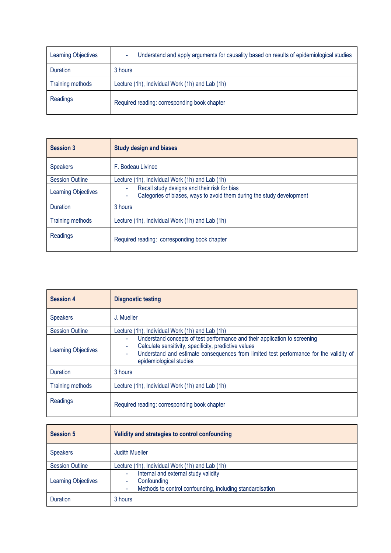| <b>Learning Objectives</b> | Understand and apply arguments for causality based on results of epidemiological studies |
|----------------------------|------------------------------------------------------------------------------------------|
| <b>Duration</b>            | 3 hours                                                                                  |
| Training methods           | Lecture (1h), Individual Work (1h) and Lab (1h)                                          |
| Readings                   | Required reading: corresponding book chapter                                             |

| <b>Session 3</b>           | <b>Study design and biases</b>                                                                                                  |
|----------------------------|---------------------------------------------------------------------------------------------------------------------------------|
| <b>Speakers</b>            | F. Bodeau Livinec                                                                                                               |
| <b>Session Outline</b>     | Lecture (1h), Individual Work (1h) and Lab (1h)                                                                                 |
| <b>Learning Objectives</b> | Recall study designs and their risk for bias<br>٠<br>Categories of biases, ways to avoid them during the study development<br>۰ |
| <b>Duration</b>            | 3 hours                                                                                                                         |
| <b>Training methods</b>    | Lecture (1h), Individual Work (1h) and Lab (1h)                                                                                 |
| Readings                   | Required reading: corresponding book chapter                                                                                    |

| <b>Session 4</b>           | <b>Diagnostic testing</b>                                                                                                                                                                                                                                               |
|----------------------------|-------------------------------------------------------------------------------------------------------------------------------------------------------------------------------------------------------------------------------------------------------------------------|
| <b>Speakers</b>            | J. Mueller                                                                                                                                                                                                                                                              |
| <b>Session Outline</b>     | Lecture (1h), Individual Work (1h) and Lab (1h)                                                                                                                                                                                                                         |
| <b>Learning Objectives</b> | Understand concepts of test performance and their application to screening<br>٠<br>Calculate sensitivity, specificity, predictive values<br>٠<br>Understand and estimate consequences from limited test performance for the validity of<br>٠<br>epidemiological studies |
| <b>Duration</b>            | 3 hours                                                                                                                                                                                                                                                                 |
| <b>Training methods</b>    | Lecture (1h), Individual Work (1h) and Lab (1h)                                                                                                                                                                                                                         |
| Readings                   | Required reading: corresponding book chapter                                                                                                                                                                                                                            |

| <b>Session 5</b>           | Validity and strategies to control confounding                                                                             |
|----------------------------|----------------------------------------------------------------------------------------------------------------------------|
| <b>Speakers</b>            | <b>Judith Mueller</b>                                                                                                      |
| <b>Session Outline</b>     | Lecture (1h), Individual Work (1h) and Lab (1h)                                                                            |
| <b>Learning Objectives</b> | Internal and external study validity<br>٠<br>Confounding<br>٠<br>Methods to control confounding, including standardisation |
| <b>Duration</b>            | 3 hours                                                                                                                    |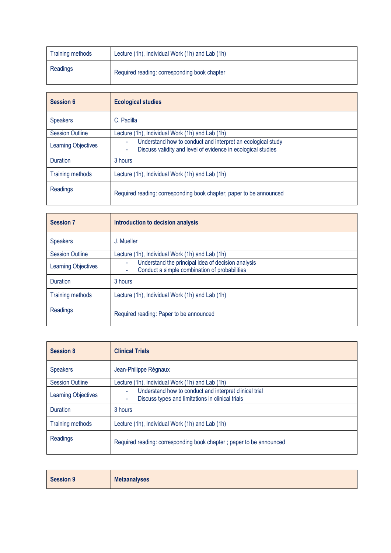| Training methods | Lecture (1h), Individual Work (1h) and Lab (1h) |
|------------------|-------------------------------------------------|
| Readings         | Required reading: corresponding book chapter    |

| Session 6                  | <b>Ecological studies</b>                                                                                                             |
|----------------------------|---------------------------------------------------------------------------------------------------------------------------------------|
| <b>Speakers</b>            | C. Padilla                                                                                                                            |
| <b>Session Outline</b>     | Lecture (1h), Individual Work (1h) and Lab (1h)                                                                                       |
| <b>Learning Objectives</b> | Understand how to conduct and interpret an ecological study<br>٠<br>Discuss validity and level of evidence in ecological studies<br>۰ |
| Duration                   | 3 hours                                                                                                                               |
| <b>Training methods</b>    | Lecture (1h), Individual Work (1h) and Lab (1h)                                                                                       |
| Readings                   | Required reading: corresponding book chapter; paper to be announced                                                                   |

| <b>Session 7</b>           | Introduction to decision analysis                                                                                          |
|----------------------------|----------------------------------------------------------------------------------------------------------------------------|
| <b>Speakers</b>            | J. Mueller                                                                                                                 |
| <b>Session Outline</b>     | Lecture (1h), Individual Work (1h) and Lab (1h)                                                                            |
| <b>Learning Objectives</b> | Understand the principal idea of decision analysis<br>٠<br>Conduct a simple combination of probabilities<br>$\blacksquare$ |
| <b>Duration</b>            | 3 hours                                                                                                                    |
| <b>Training methods</b>    | Lecture (1h), Individual Work (1h) and Lab (1h)                                                                            |
| Readings                   | Required reading: Paper to be announced                                                                                    |

| <b>Session 8</b>           | <b>Clinical Trials</b>                                                                                               |
|----------------------------|----------------------------------------------------------------------------------------------------------------------|
| <b>Speakers</b>            | Jean-Philippe Régnaux                                                                                                |
| <b>Session Outline</b>     | Lecture (1h), Individual Work (1h) and Lab (1h)                                                                      |
| <b>Learning Objectives</b> | Understand how to conduct and interpret clinical trial<br>٠<br>Discuss types and limitations in clinical trials<br>۰ |
| Duration                   | 3 hours                                                                                                              |
| <b>Training methods</b>    | Lecture (1h), Individual Work (1h) and Lab (1h)                                                                      |
| Readings                   | Required reading: corresponding book chapter; paper to be announced                                                  |

| <b>Session 9</b> | <b>Metaanalyses</b> |
|------------------|---------------------|
|------------------|---------------------|